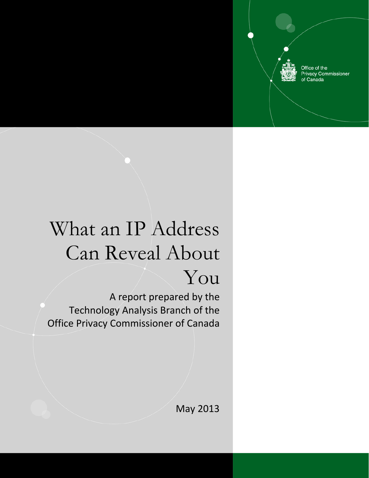Office of the Privacy Commissioner<br>of Canada

## What an IP Address Can Reveal About

## You

A report prepared by the Technology Analysis Branch of the Office Privacy Commissioner of Canada

May 2013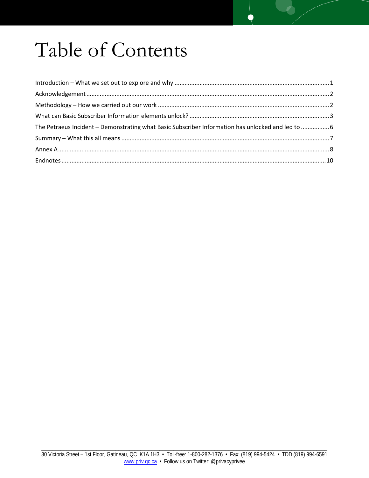# Table of Contents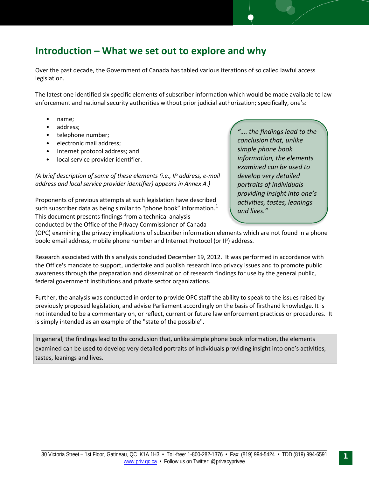## <span id="page-2-0"></span>**Introduction – What we set out to explore and why**

Over the past decade, the Government of Canada has tabled various iterations of so called lawful access legislation.

The latest one identified six specific elements of subscriber information which would be made available to law enforcement and national security authorities without prior judicial authorization; specifically, one's:

- name;
- address;
- telephone number;
- electronic mail address;
- Internet protocol address; and
- local service provider identifier.

*(A brief description of some of these elements (i.e., IP address, e-mail address and local service provider identifier) appears in Annex A.)* 

Proponents of previous attempts at such legislation have described such subscriber data as being similar to "phone book" information. $<sup>1</sup>$  $<sup>1</sup>$  $<sup>1</sup>$ </sup> This document presents findings from a technical analysis conducted by the Office of the Privacy Commissioner of Canada

*"…. the findings lead to the conclusion that, unlike simple phone book information, the elements examined can be used to develop very detailed portraits of individuals providing insight into one's activities, tastes, leanings and lives."*

(OPC) examining the privacy implications of subscriber information elements which are not found in a phone book: email address, mobile phone number and Internet Protocol (or IP) address.

Research associated with this analysis concluded December 19, 2012. It was performed in accordance with the Office's mandate to support, undertake and publish research into privacy issues and to promote public awareness through the preparation and dissemination of research findings for use by the general public, federal government institutions and private sector organizations.

Further, the analysis was conducted in order to provide OPC staff the ability to speak to the issues raised by previously proposed legislation, and advise Parliament accordingly on the basis of firsthand knowledge. It is not intended to be a commentary on, or reflect, current or future law enforcement practices or procedures. It is simply intended as an example of the "state of the possible".

In general, the findings lead to the conclusion that, unlike simple phone book information, the elements examined can be used to develop very detailed portraits of individuals providing insight into one's activities, tastes, leanings and lives.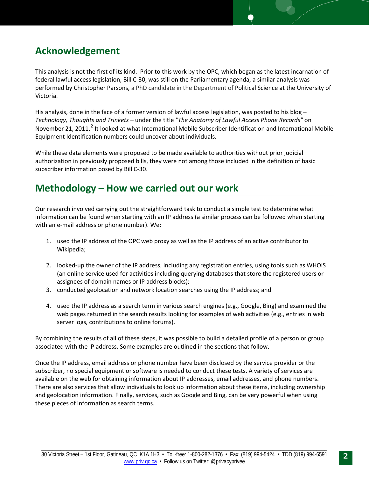## <span id="page-3-0"></span>**Acknowledgement**

This analysis is not the first of its kind. Prior to this work by the OPC, which began as the latest incarnation of federal lawful access legislation, Bill C-30, was still on the Parliamentary agenda, a similar analysis was performed by Christopher Parsons, a PhD candidate in the Department of Political Science at the University of Victoria.

His analysis, done in the face of a former version of lawful access legislation, was posted to his blog – *Technology, Thoughts and Trinkets* – under the title *"The Anatomy of Lawful Access Phone Records"* on November [2](#page-12-0)1, 2011.<sup>2</sup> It looked at what International Mobile Subscriber Identification and International Mobile Equipment Identification numbers could uncover about individuals.

While these data elements were proposed to be made available to authorities without prior judicial authorization in previously proposed bills, they were not among those included in the definition of basic subscriber information posed by Bill C-30.

### <span id="page-3-1"></span>**Methodology – How we carried out our work**

Our research involved carrying out the straightforward task to conduct a simple test to determine what information can be found when starting with an IP address (a similar process can be followed when starting with an e-mail address or phone number). We:

- 1. used the IP address of the OPC web proxy as well as the IP address of an active contributor to Wikipedia;
- 2. looked-up the owner of the IP address, including any registration entries, using tools such as WHOIS (an online service used for activities including querying databases that store the registered users or assignees of domain names or IP address blocks);
- 3. conducted geolocation and network location searches using the IP address; and
- 4. used the IP address as a search term in various search engines (e.g., Google, Bing) and examined the web pages returned in the search results looking for examples of web activities (e.g., entries in web server logs, contributions to online forums).

By combining the results of all of these steps, it was possible to build a detailed profile of a person or group associated with the IP address. Some examples are outlined in the sections that follow.

Once the IP address, email address or phone number have been disclosed by the service provider or the subscriber, no special equipment or software is needed to conduct these tests. A variety of services are available on the web for obtaining information about IP addresses, email addresses, and phone numbers. There are also services that allow individuals to look up information about these items, including ownership and geolocation information. Finally, services, such as Google and Bing, can be very powerful when using these pieces of information as search terms.

2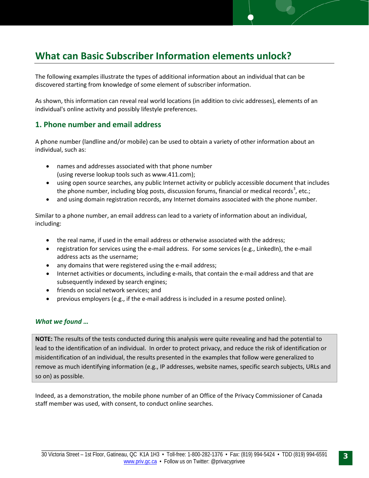## <span id="page-4-0"></span>**What can Basic Subscriber Information elements unlock?**

The following examples illustrate the types of additional information about an individual that can be discovered starting from knowledge of some element of subscriber information.

As shown, this information can reveal real world locations (in addition to civic addresses), elements of an individual's online activity and possibly lifestyle preferences.

#### **1. Phone number and email address**

A phone number (landline and/or mobile) can be used to obtain a variety of other information about an individual, such as:

- names and addresses associated with that phone number (using reverse lookup tools such as www.411.com);
- using open source searches, any public Internet activity or publicly accessible document that includes the phone number, including blog posts, discussion forums, financial or medical records<sup>[3](#page-12-1)</sup>, etc.;
- and using domain registration records, any Internet domains associated with the phone number.

Similar to a phone number, an email address can lead to a variety of information about an individual, including:

- the real name, if used in the email address or otherwise associated with the address;
- registration for services using the e-mail address. For some services (e.g., LinkedIn), the e-mail address acts as the username;
- any domains that were registered using the e-mail address;
- Internet activities or documents, including e-mails, that contain the e-mail address and that are subsequently indexed by search engines;
- friends on social network services; and
- previous employers (e.g., if the e-mail address is included in a resume posted online).

#### *What we found …*

**NOTE:** The results of the tests conducted during this analysis were quite revealing and had the potential to lead to the identification of an individual. In order to protect privacy, and reduce the risk of identification or misidentification of an individual, the results presented in the examples that follow were generalized to remove as much identifying information (e.g., IP addresses, website names, specific search subjects, URLs and so on) as possible.

Indeed, as a demonstration, the mobile phone number of an Office of the Privacy Commissioner of Canada staff member was used, with consent, to conduct online searches.

3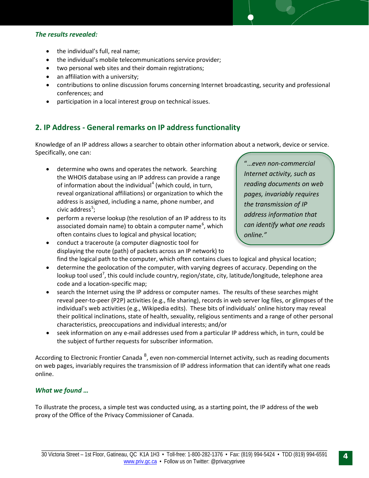#### *The results revealed:*

- the individual's full, real name;
- the individual's mobile telecommunications service provider;
- two personal web sites and their domain registrations;
- an affiliation with a university;
- contributions to online discussion forums concerning Internet broadcasting, security and professional conferences; and
- participation in a local interest group on technical issues.

#### **2. IP Address - General remarks on IP address functionality**

Knowledge of an IP address allows a searcher to obtain other information about a network, device or service. Specifically, one can:

- determine who owns and operates the network. Searching the WHOIS database using an IP address can provide a range of information about the individual<sup>[4](#page-12-2)</sup> (which could, in turn, reveal organizational affiliations) or organization to which the address is assigned, including a name, phone number, and civic address $^{5}$  $^{5}$  $^{5}$ ;
- perform a reverse lookup (the resolution of an IP address to its associated domain name) to obtain a computer name<sup>[6](#page-12-4)</sup>, which often contains clues to logical and physical location;
- conduct a traceroute (a computer diagnostic tool for displaying the route (path) of packets across an IP network) to find the logical path to the computer, which often contains clues to logical and physical location;
- determine the geolocation of the computer, with varying degrees of accuracy. Depending on the lookup tool used<sup>[7](#page-12-5)</sup>, this could include country, region/state, city, latitude/longitude, telephone area code and a location-specific map;
- search the Internet using the IP address or computer names. The results of these searches might reveal peer-to-peer (P2P) activities (e.g., file sharing), records in web server log files, or glimpses of the individual's web activities (e.g., Wikipedia edits). These bits of individuals' online history may reveal their political inclinations, state of health, sexuality, religious sentiments and a range of other personal characteristics, preoccupations and individual interests; and/or
- seek information on any e-mail addresses used from a particular IP address which, in turn, could be the subject of further requests for subscriber information.

According to Electronic Frontier Canada <sup>[8](#page-12-6)</sup>, even non-commercial Internet activity, such as reading documents on web pages, invariably requires the transmission of IP address information that can identify what one reads online.

#### *What we found …*

To illustrate the process, a simple test was conducted using, as a starting point, the IP address of the web proxy of the Office of the Privacy Commissioner of Canada.

"…*even non-commercial Internet activity, such as reading documents on web pages, invariably requires the transmission of IP address information that can identify what one reads online."*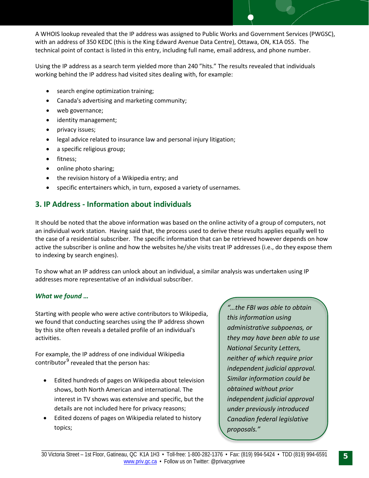A WHOIS lookup revealed that the IP address was assigned to Public Works and Government Services (PWGSC), with an address of 350 KEDC (this is the King Edward Avenue Data Centre), Ottawa, ON, K1A 0S5. The technical point of contact is listed in this entry, including full name, email address, and phone number.

Using the IP address as a search term yielded more than 240 "hits." The results revealed that individuals working behind the IP address had visited sites dealing with, for example:

- search engine optimization training;
- Canada's advertising and marketing community;
- web governance;
- identity management;
- privacy issues;
- legal advice related to insurance law and personal injury litigation;
- a specific religious group;
- fitness;
- online photo sharing;
- the revision history of a Wikipedia entry; and
- specific entertainers which, in turn, exposed a variety of usernames.

#### **3. IP Address - Information about individuals**

It should be noted that the above information was based on the online activity of a group of computers, not an individual work station. Having said that, the process used to derive these results applies equally well to the case of a residential subscriber. The specific information that can be retrieved however depends on how active the subscriber is online and how the websites he/she visits treat IP addresses (i.e., do they expose them to indexing by search engines).

To show what an IP address can unlock about an individual, a similar analysis was undertaken using IP addresses more representative of an individual subscriber.

#### *What we found …*

Starting with people who were active contributors to Wikipedia, we found that conducting searches using the IP address shown by this site often reveals a detailed profile of an individual's activities.

For example, the IP address of one individual Wikipedia contributor $9$  revealed that the person has:

- Edited hundreds of pages on Wikipedia about television shows, both North American and international. The interest in TV shows was extensive and specific, but the details are not included here for privacy reasons;
- Edited dozens of pages on Wikipedia related to history topics;

*"…the FBI was able to obtain this information using administrative subpoenas, or they may have been able to use National Security Letters, neither of which require prior independent judicial approval. Similar information could be obtained without prior independent judicial approval under previously introduced Canadian federal legislative proposals."*

\_\_\_\_\_\_\_\_\_\_\_\_\_\_\_\_\_\_\_\_\_\_\_\_\_\_\_\_\_\_\_\_\_\_\_\_\_\_\_\_\_\_\_\_\_\_\_\_\_\_\_\_\_\_\_\_\_\_\_\_\_\_\_\_\_\_\_\_\_\_\_\_\_\_\_\_\_\_\_\_\_\_\_\_\_\_\_\_\_\_\_\_\_\_\_\_\_\_\_\_\_\_\_\_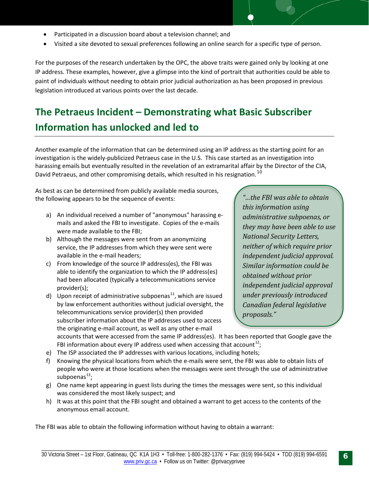- Participated in a discussion board about a television channel; and
- Visited a site devoted to sexual preferences following an online search for a specific type of person.

For the purposes of the research undertaken by the OPC, the above traits were gained only by looking at one IP address. These examples, however, give a glimpse into the kind of portrait that authorities could be able to paint of individuals without needing to obtain prior judicial authorization as has been proposed in previous legislation introduced at various points over the last decade.

## <span id="page-7-0"></span>**The Petraeus Incident – Demonstrating what Basic Subscriber Information has unlocked and led to**

Another example of the information that can be determined using an IP address as the starting point for an investigation is the widely-publicized Petraeus case in the U.S. This case started as an investigation into harassing emails but eventually resulted in the revelation of an extramarital affair by the Director of the CIA, David Petraeus, and other compromising details, which resulted in his resignation.<sup>[10](#page-12-8)</sup>

As best as can be determined from publicly available media sources, the following appears to be the sequence of events:

- a) An individual received a number of "anonymous" harassing emails and asked the FBI to investigate. Copies of the e-mails were made available to the FBI;
- b) Although the messages were sent from an anonymizing service, the IP addresses from which they were sent were available in the e-mail headers;
- c) From knowledge of the source IP address(es), the FBI was able to identify the organization to which the IP address(es) had been allocated (typically a telecommunications service provider(s);
- d) Upon receipt of administrative subpoenas<sup>11</sup>, which are issued by law enforcement authorities without judicial oversight, the telecommunications service provider(s) then provided subscriber information about the IP addresses used to access the originating e-mail account, as well as any other e-mail

*"…the FBI was able to obtain this information using administrative subpoenas, or they may have been able to use National Security Letters, neither of which require prior independent judicial approval. Similar information could be obtained without prior independent judicial approval under previously introduced Canadian federal legislative proposals."*

accounts that were accessed from the same IP address(es). It has been reported that Google gave the FBI information about every IP address used when accessing that account<sup>12</sup>;

- e) The ISP associated the IP addresses with various locations, including hotels;
- f) Knowing the physical locations from which the e-mails were sent, the FBI was able to obtain lists of people who were at those locations when the messages were sent through the use of administrative subpoenas<sup>[13](#page-12-11)</sup>;
- g) One name kept appearing in guest lists during the times the messages were sent, so this individual was considered the most likely suspect; and
- h) It was at this point that the FBI sought and obtained a warrant to get access to the contents of the anonymous email account.

The FBI was able to obtain the following information without having to obtain a warrant: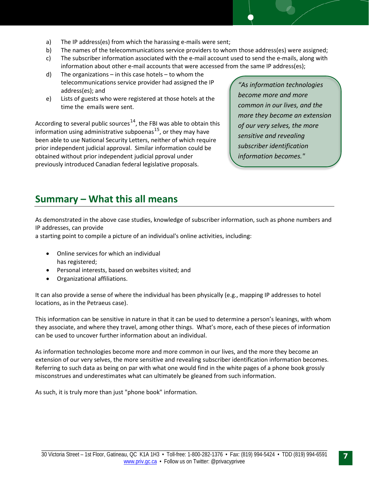- a) The IP address(es) from which the harassing e-mails were sent;
- b) The names of the telecommunications service providers to whom those address(es) were assigned;
- c) The subscriber information associated with the e-mail account used to send the e-mails, along with information about other e-mail accounts that were accessed from the same IP address(es);
- d) The organizations in this case hotels to whom the telecommunications service provider had assigned the IP address(es); and
- e) Lists of guests who were registered at those hotels at the time the emails were sent.

According to several public sources<sup>[14](#page-12-12)</sup>, the FBI was able to obtain this information using administrative subpoenas<sup>[15](#page-12-13)</sup>, or they may have been able to use National Security Letters, neither of which require prior independent judicial approval. Similar information could be obtained without prior independent judicial pproval under previously introduced Canadian federal legislative proposals.

*"As information technologies become more and more common in our lives, and the more they become an extension of our very selves, the more sensitive and revealing subscriber identification information becomes."*

### <span id="page-8-0"></span>**Summary – What this all means**

As demonstrated in the above case studies, knowledge of subscriber information, such as phone numbers and IP addresses, can provide

a starting point to compile a picture of an individual's online activities, including:

- Online services for which an individual has registered;
- Personal interests, based on websites visited; and
- Organizational affiliations.

It can also provide a sense of where the individual has been physically (e.g., mapping IP addresses to hotel locations, as in the Petraeus case).

This information can be sensitive in nature in that it can be used to determine a person's leanings, with whom they associate, and where they travel, among other things. What's more, each of these pieces of information can be used to uncover further information about an individual.

As information technologies become more and more common in our lives, and the more they become an extension of our very selves, the more sensitive and revealing subscriber identification information becomes. Referring to such data as being on par with what one would find in the white pages of a phone book grossly misconstrues and underestimates what can ultimately be gleaned from such information.

As such, it is truly more than just "phone book" information.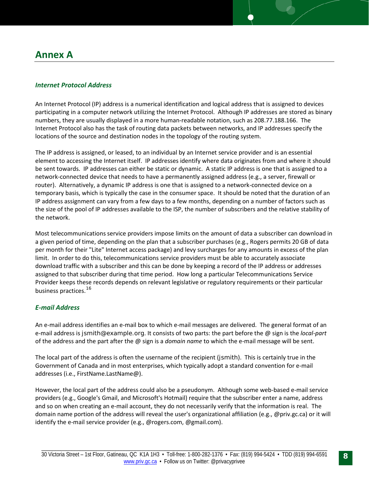#### <span id="page-9-0"></span>*Internet Protocol Address*

An Internet Protocol (IP) address is a numerical identification and logical address that is assigned to devices participating in a computer network utilizing the Internet Protocol. Although IP addresses are stored as binary numbers, they are usually displayed in a more human-readable notation, such as 208.77.188.166. The Internet Protocol also has the task of routing data packets between networks, and IP addresses specify the locations of the source and destination nodes in the topology of the routing system.

The IP address is assigned, or leased, to an individual by an Internet service provider and is an essential element to accessing the Internet itself. IP addresses identify where data originates from and where it should be sent towards. IP addresses can either be static or dynamic. A static IP address is one that is assigned to a network-connected device that needs to have a permanently assigned address (e.g., a server, firewall or router). Alternatively, a dynamic IP address is one that is assigned to a network-connected device on a temporary basis, which is typically the case in the consumer space. It should be noted that the duration of an IP address assignment can vary from a few days to a few months, depending on a number of factors such as the size of the pool of IP addresses available to the ISP, the number of subscribers and the relative stability of the network.

Most telecommunications service providers impose limits on the amount of data a subscriber can download in a given period of time, depending on the plan that a subscriber purchases (e.g., Rogers permits 20 GB of data per month for their "Lite" Internet access package) and levy surcharges for any amounts in excess of the plan limit. In order to do this, telecommunications service providers must be able to accurately associate download traffic with a subscriber and this can be done by keeping a record of the IP address or addresses assigned to that subscriber during that time period. How long a particular Telecommunications Service Provider keeps these records depends on relevant legislative or regulatory requirements or their particular business practices.[16](#page-12-14)

#### *E-mail Address*

An e-mail address identifies an e-mail box to which e-mail messages are delivered. The general format of an e-mail address is jsmith@example.org. It consists of two parts: the part before the @ sign is the *local-part* of the address and the part after the @ sign is a *domain name* to which the e-mail message will be sent.

The local part of the address is often the username of the recipient (jsmith). This is certainly true in the Government of Canada and in most enterprises, which typically adopt a standard convention for e-mail addresses (i.e., FirstName.LastName@).

However, the local part of the address could also be a pseudonym. Although some web-based e-mail service providers (e.g., Google's Gmail, and Microsoft's Hotmail) require that the subscriber enter a name, address and so on when creating an e-mail account, they do not necessarily verify that the information is real. The domain name portion of the address will reveal the user's organizational affiliation (e.g., @priv.gc.ca) or it will identify the e-mail service provider (e.g., @rogers.com, @gmail.com).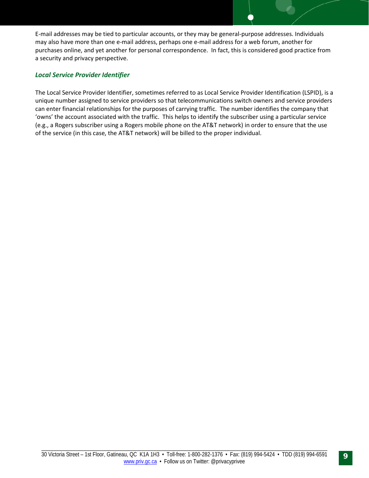E-mail addresses may be tied to particular accounts, or they may be general-purpose addresses. Individuals may also have more than one e-mail address, perhaps one e-mail address for a web forum, another for purchases online, and yet another for personal correspondence. In fact, this is considered good practice from a security and privacy perspective.

#### *Local Service Provider Identifier*

The Local Service Provider Identifier, sometimes referred to as Local Service Provider Identification (LSPID), is a unique number assigned to service providers so that telecommunications switch owners and service providers can enter financial relationships for the purposes of carrying traffic. The number identifies the company that 'owns' the account associated with the traffic. This helps to identify the subscriber using a particular service (e.g., a Rogers subscriber using a Rogers mobile phone on the AT&T network) in order to ensure that the use of the service (in this case, the AT&T network) will be billed to the proper individual.

9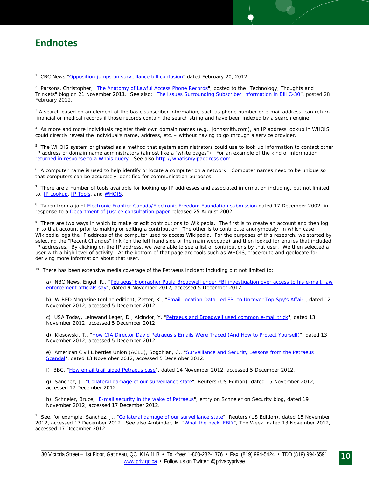<span id="page-11-0"></span> $\overline{\phantom{0}}$ 

<span id="page-11-1"></span><sup>1</sup> CBC News ["Opposition jumps on surveillance bill confusion"](http://www.cbc.ca/news/politics/story/2012/02/19/pol-toews-surveillance-bill-content-reaction.html) dated February 20, 2012.

<sup>2</sup> Parsons, Christopher, "<u>The Anatomy of Lawful Access Phone Records</u>", posted to the "Technology, Thoughts and Trinkets" blog on 21 November 2011. See also: ["The Issues Surrounding Subscriber Information in Bill C-30"](http://www.christopher-parsons.com/blog/technology/the-issues-surrounding-subscriber-information-in-bill-c-30/)), posted 28 February 2012.

 $3$  A search based on an element of the basic subscriber information, such as phone number or e-mail address, can return financial or medical records if those records contain the search string and have been indexed by a search engine.

4 As more and more individuals register their own domain names (e.g., johnsmith.com), an IP address lookup in WHOIS could directly reveal the individual's name, address, etc. – without having to go through a service provider.

<sup>5</sup> The WHOIS system originated as a method that system administrators could use to look up information to contact other IP address or domain name administrators (almost like a "white pages"). For an example of the kind of information [returned in response to a Whois query.](http://en.wikipedia.org/wiki/WHOIS#Data_Returned) See also [http://whatismyipaddress.com.](http://whatismyipaddress.com/)

6 A computer name is used to help identify or locate a computer on a network. Computer names need to be unique so that computers can be accurately identified for communication purposes.

 $<sup>7</sup>$  There are a number of tools available for looking up IP addresses and associated information including, but not limited</sup> to, **IP Lookup, IP Tools**, and **WHOIS**.

<sup>8</sup> Taken from a joint *Electronic Frontier Canada/Electronic Freedom Foundation submission* dated 17 December 2002, in response to a [Department of Justice consultation paper](http://www.justice.gc.ca/eng/cons/la-al/consult.html) released 25 August 2002.

<sup>9</sup> There are two ways in which to make or edit contributions to Wikipedia. The first is to create an account and then log in to that account prior to making or editing a contribution. The other is to contribute anonymously, in which case Wikipedia logs the IP address of the computer used to access Wikipedia. For the purposes of this research, we started by selecting the "Recent Changes" link (on the left hand side of the main webpage) and then looked for entries that included IP addresses. By clicking on the IP address, we were able to see a list of contributions by that user. We then selected a user with a high level of activity. At the bottom of that page are tools such as WHOIS, traceroute and geolocate for deriving more information about that user.

<sup>10</sup> There has been extensive media coverage of the Petraeus incident including but not limited to:

a) NBC News, Engel, R., "Petraeus' biographer Paula Broadwell under FBI investigation over access to his e-mail, law [enforcement officials say"](http://usnews.nbcnews.com/_news/2012/11/09/15056607-petraeus-biographer-paula-broadwell-under-FBI-investigation-over-access-to-his-email-law-enforcement-officials-say), dated 9 November 2012, accessed 5 December 2012.

b) WIRED Magazine (online edition), Zetter, K., ["Email Location Data Led FBI to](http://www.wired.com/threatlevel/2012/11/gmail-location-data-petraeus/) Uncover Top Spy's Affair", dated 12 November 2012, accessed 5 December 2012.

c) USA Today, Leinwand Leger, D., Alcindor, Y, ["Petraeus and Broadwell used common e-mail trick"](http://www.usatoday.com/story/tech/2012/11/13/petraues-broadwell-email/1702057/), dated 13 November 2012, accessed 5 December 2012.

d) Klosowski, T., ["How CIA Director David Petraeus's Emails Were Traced \(And How to Protect Yourself\)"](http://lifehacker.com/5960080/how-cia-director-david-petraeus-was-traced-through-email-and-how-to-keep-it-from-happening-to-you), dated 13 November 2012, accessed 5 December 2012.

e) American Civil Liberties Union (ACLU), Sogohian, C., "Surveillance and Security Lessons from the Petraeus [Scandal"](http://www.aclu.org/blog/technology-and-liberty-national-security/surveillance-and-security-lessons-petraeus-scandal), dated 13 November 2012, accessed 5 December 2012.

f) BBC, ["How email trail aided Petraeus case"](http://edition.myjoyonline.com/pages/science/201211/97203.php), dated 14 November 2012, accessed 5 December 2012.

g) Sanchez, J., ["Collateral damage of our surveillance state"](http://blogs.reuters.com/great-debate/2012/11/15/collatoral-damage-of-our-surveillance-state/), Reuters (US Edition), dated 15 November 2012, accessed 17 December 2012.

h) Schneier, Bruce, ["E-mail security in the wake of Petraeus"](https://www.schneier.com/blog/archives/2012/11/e-mail_security.html), entry on Schneier on Security blog, dated 19 November 2012, accessed 17 December 2012.

<sup>11</sup> See, for example, Sanchez, J., ["Collateral damage of our surveillance state"](http://blogs.reuters.com/great-debate/2012/11/15/collatoral-damage-of-our-surveillance-state/), Reuters (US Edition), dated 15 November 2012, accessed 17 December 2012. See also Ambinder, M. ["What the heck,](http://theweek.com/article/index/236326/what-the-heck-fbi) FBI?", The Week, dated 13 November 2012, accessed 17 December 2012.